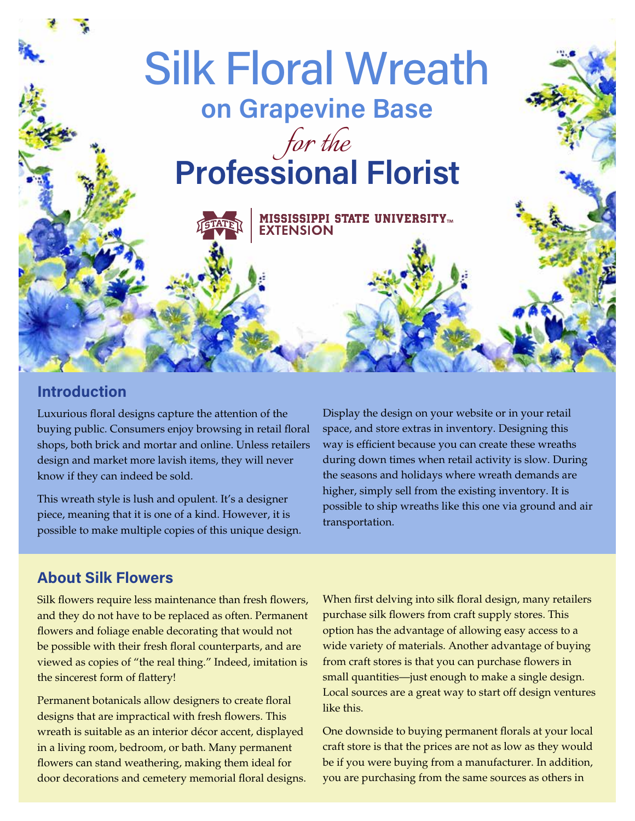

### Introduction

Luxurious floral designs capture the attention of the buying public. Consumers enjoy browsing in retail floral shops, both brick and mortar and online. Unless retailers design and market more lavish items, they will never know if they can indeed be sold.

This wreath style is lush and opulent. It's a designer piece, meaning that it is one of a kind. However, it is possible to make multiple copies of this unique design.

Display the design on your website or in your retail space, and store extras in inventory. Designing this way is efficient because you can create these wreaths during down times when retail activity is slow. During the seasons and holidays where wreath demands are higher, simply sell from the existing inventory. It is possible to ship wreaths like this one via ground and air transportation.

## About Silk Flowers

Silk flowers require less maintenance than fresh flowers, and they do not have to be replaced as often. Permanent flowers and foliage enable decorating that would not be possible with their fresh floral counterparts, and are viewed as copies of "the real thing." Indeed, imitation is the sincerest form of flattery!

Permanent botanicals allow designers to create floral designs that are impractical with fresh flowers. This wreath is suitable as an interior décor accent, displayed in a living room, bedroom, or bath. Many permanent flowers can stand weathering, making them ideal for door decorations and cemetery memorial floral designs. When first delving into silk floral design, many retailers purchase silk flowers from craft supply stores. This option has the advantage of allowing easy access to a wide variety of materials. Another advantage of buying from craft stores is that you can purchase flowers in small quantities—just enough to make a single design. Local sources are a great way to start off design ventures like this.

One downside to buying permanent florals at your local craft store is that the prices are not as low as they would be if you were buying from a manufacturer. In addition, you are purchasing from the same sources as others in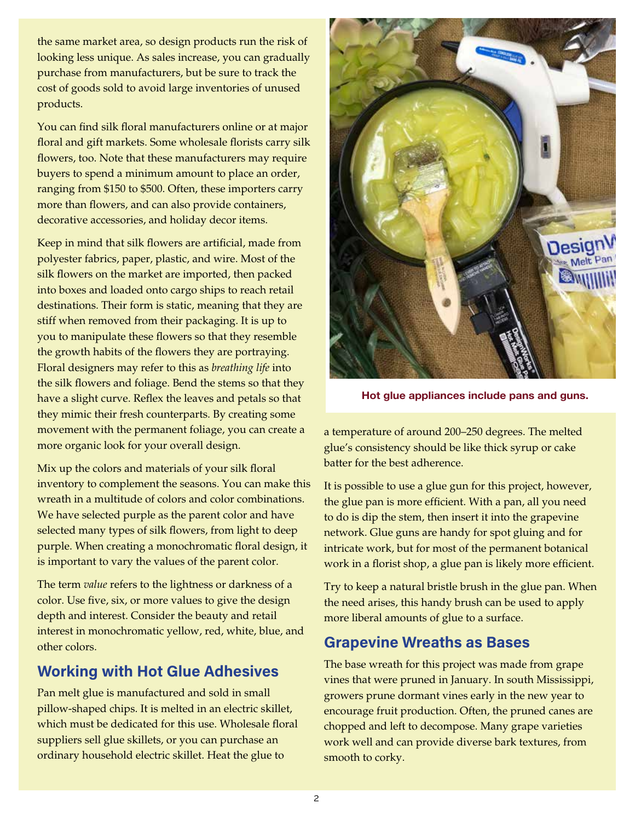the same market area, so design products run the risk of looking less unique. As sales increase, you can gradually purchase from manufacturers, but be sure to track the cost of goods sold to avoid large inventories of unused products.

You can find silk floral manufacturers online or at major floral and gift markets. Some wholesale florists carry silk flowers, too. Note that these manufacturers may require buyers to spend a minimum amount to place an order, ranging from \$150 to \$500. Often, these importers carry more than flowers, and can also provide containers, decorative accessories, and holiday decor items.

Keep in mind that silk flowers are artificial, made from polyester fabrics, paper, plastic, and wire. Most of the silk flowers on the market are imported, then packed into boxes and loaded onto cargo ships to reach retail destinations. Their form is static, meaning that they are stiff when removed from their packaging. It is up to you to manipulate these flowers so that they resemble the growth habits of the flowers they are portraying. Floral designers may refer to this as *breathing life* into the silk flowers and foliage. Bend the stems so that they have a slight curve. Reflex the leaves and petals so that they mimic their fresh counterparts. By creating some movement with the permanent foliage, you can create a more organic look for your overall design.

Mix up the colors and materials of your silk floral inventory to complement the seasons. You can make this wreath in a multitude of colors and color combinations. We have selected purple as the parent color and have selected many types of silk flowers, from light to deep purple. When creating a monochromatic floral design, it is important to vary the values of the parent color.

The term *value* refers to the lightness or darkness of a color. Use five, six, or more values to give the design depth and interest. Consider the beauty and retail interest in monochromatic yellow, red, white, blue, and other colors.

## Working with Hot Glue Adhesives

Pan melt glue is manufactured and sold in small pillow-shaped chips. It is melted in an electric skillet, which must be dedicated for this use. Wholesale floral suppliers sell glue skillets, or you can purchase an ordinary household electric skillet. Heat the glue to



**Hot glue appliances include pans and guns.**

a temperature of around 200–250 degrees. The melted glue's consistency should be like thick syrup or cake batter for the best adherence.

It is possible to use a glue gun for this project, however, the glue pan is more efficient. With a pan, all you need to do is dip the stem, then insert it into the grapevine network. Glue guns are handy for spot gluing and for intricate work, but for most of the permanent botanical work in a florist shop, a glue pan is likely more efficient.

Try to keep a natural bristle brush in the glue pan. When the need arises, this handy brush can be used to apply more liberal amounts of glue to a surface.

## Grapevine Wreaths as Bases

The base wreath for this project was made from grape vines that were pruned in January. In south Mississippi, growers prune dormant vines early in the new year to encourage fruit production. Often, the pruned canes are chopped and left to decompose. Many grape varieties work well and can provide diverse bark textures, from smooth to corky.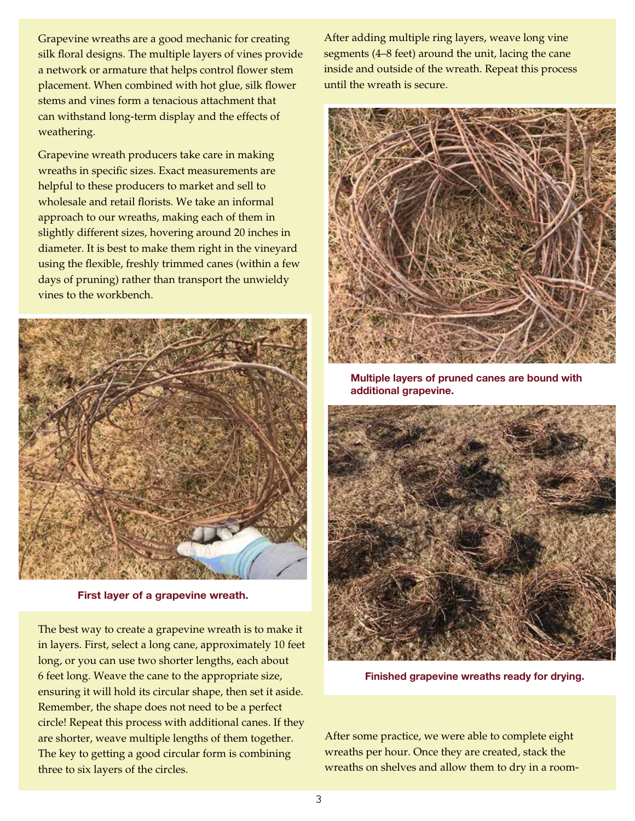Grapevine wreaths are a good mechanic for creating silk floral designs. The multiple layers of vines provide a network or armature that helps control flower stem placement. When combined with hot glue, silk flower stems and vines form a tenacious attachment that can withstand long-term display and the effects of weathering.

Grapevine wreath producers take care in making wreaths in specific sizes. Exact measurements are helpful to these producers to market and sell to wholesale and retail florists. We take an informal approach to our wreaths, making each of them in slightly different sizes, hovering around 20 inches in diameter. It is best to make them right in the vineyard using the flexible, freshly trimmed canes (within a few days of pruning) rather than transport the unwieldy vines to the workbench.



**First layer of a grapevine wreath.**

The best way to create a grapevine wreath is to make it in layers. First, select a long cane, approximately 10 feet long, or you can use two shorter lengths, each about 6 feet long. Weave the cane to the appropriate size, ensuring it will hold its circular shape, then set it aside. Remember, the shape does not need to be a perfect circle! Repeat this process with additional canes. If they are shorter, weave multiple lengths of them together. The key to getting a good circular form is combining three to six layers of the circles.

After adding multiple ring layers, weave long vine segments (4–8 feet) around the unit, lacing the cane inside and outside of the wreath. Repeat this process until the wreath is secure.



**Multiple layers of pruned canes are bound with additional grapevine.**



**Finished grapevine wreaths ready for drying.** 

After some practice, we were able to complete eight wreaths per hour. Once they are created, stack the wreaths on shelves and allow them to dry in a room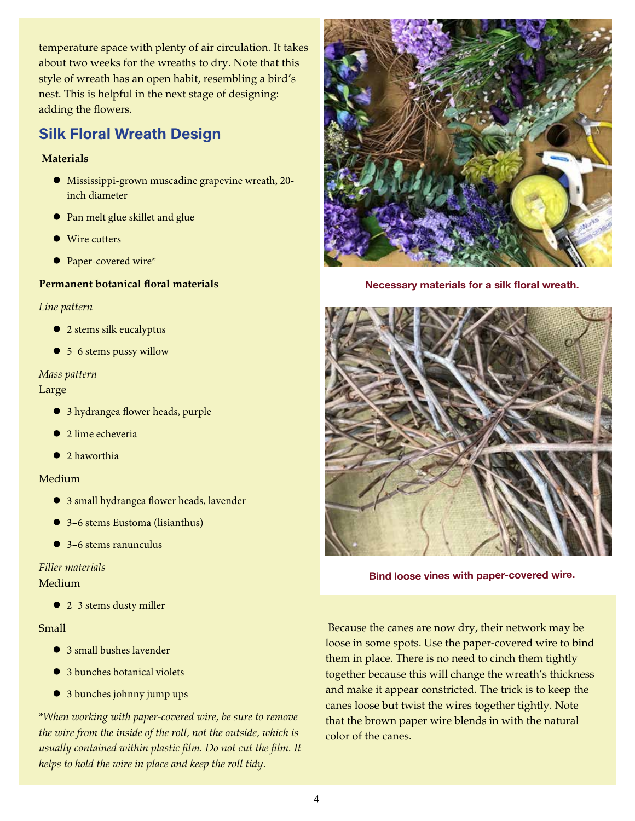temperature space with plenty of air circulation. It takes about two weeks for the wreaths to dry. Note that this style of wreath has an open habit, resembling a bird's nest. This is helpful in the next stage of designing: adding the flowers.

# Silk Floral Wreath Design

#### **Materials**

- $\bullet$  Mississippi-grown muscadine grapevine wreath, 20inch diameter
- **•** Pan melt glue skillet and glue
- $\bullet$  Wire cutters
- Paper-covered wire\*

### **Permanent botanical floral materials**

#### *Line pattern*

- 2 stems silk eucalyptus
- $\bullet$  5–6 stems pussy willow

#### *Mass pattern*

#### Large

- 3 hydrangea flower heads, purple
- $\bullet$  2 lime echeveria
- $\bullet$  2 haworthia

#### Medium

- l 3 small hydrangea flower heads, lavender
- 3–6 stems Eustoma (lisianthus)
- $\bullet$  3–6 stems ranunculus

### *Filler materials*

Medium

• 2-3 stems dusty miller

#### Small

- 3 small bushes lavender
- 3 bunches botanical violets
- 3 bunches johnny jump ups

\**When working with paper-covered wire, be sure to remove the wire from the inside of the roll, not the outside, which is usually contained within plastic film. Do not cut the film. It helps to hold the wire in place and keep the roll tidy*.



**Necessary materials for a silk floral wreath.**



**Bind loose vines with paper-covered wire.**

 Because the canes are now dry, their network may be loose in some spots. Use the paper-covered wire to bind them in place. There is no need to cinch them tightly together because this will change the wreath's thickness and make it appear constricted. The trick is to keep the canes loose but twist the wires together tightly. Note that the brown paper wire blends in with the natural color of the canes.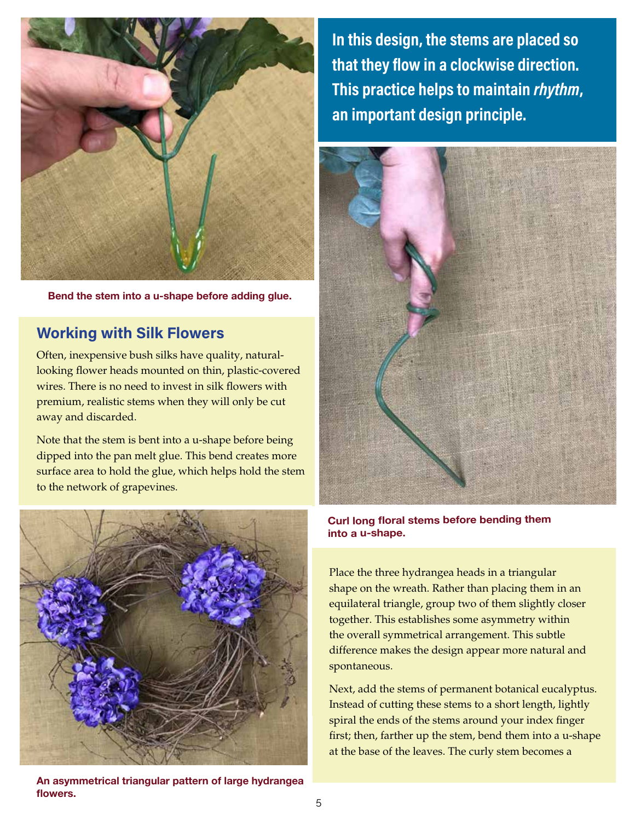

**Bend the stem into a u-shape before adding glue.**

### Working with Silk Flowers

Often, inexpensive bush silks have quality, naturallooking flower heads mounted on thin, plastic-covered wires. There is no need to invest in silk flowers with premium, realistic stems when they will only be cut away and discarded.

Note that the stem is bent into a u-shape before being dipped into the pan melt glue. This bend creates more surface area to hold the glue, which helps hold the stem to the network of grapevines.



**An asymmetrical triangular pattern of large hydrangea flowers.**

In this design, the stems are placed so that they flow in a clockwise direction. This practice helps to maintain *rhythm*, an important design principle.



**Curl long floral stems before bending them into a u-shape.** 

Place the three hydrangea heads in a triangular shape on the wreath. Rather than placing them in an equilateral triangle, group two of them slightly closer together. This establishes some asymmetry within the overall symmetrical arrangement. This subtle difference makes the design appear more natural and spontaneous.

Next, add the stems of permanent botanical eucalyptus. Instead of cutting these stems to a short length, lightly spiral the ends of the stems around your index finger first; then, farther up the stem, bend them into a u-shape at the base of the leaves. The curly stem becomes a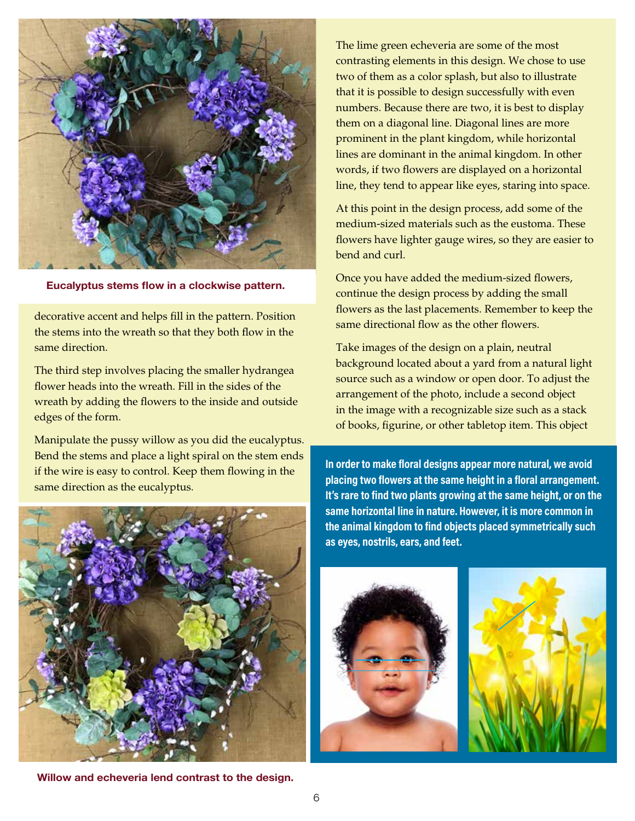

**Eucalyptus stems flow in a clockwise pattern.**

decorative accent and helps fill in the pattern. Position the stems into the wreath so that they both flow in the same direction.

The third step involves placing the smaller hydrangea flower heads into the wreath. Fill in the sides of the wreath by adding the flowers to the inside and outside edges of the form.

Manipulate the pussy willow as you did the eucalyptus. Bend the stems and place a light spiral on the stem ends if the wire is easy to control. Keep them flowing in the same direction as the eucalyptus.



**Willow and echeveria lend contrast to the design.**

The lime green echeveria are some of the most contrasting elements in this design. We chose to use two of them as a color splash, but also to illustrate that it is possible to design successfully with even numbers. Because there are two, it is best to display them on a diagonal line. Diagonal lines are more prominent in the plant kingdom, while horizontal lines are dominant in the animal kingdom. In other words, if two flowers are displayed on a horizontal line, they tend to appear like eyes, staring into space.

At this point in the design process, add some of the medium-sized materials such as the eustoma. These flowers have lighter gauge wires, so they are easier to bend and curl.

Once you have added the medium-sized flowers, continue the design process by adding the small flowers as the last placements. Remember to keep the same directional flow as the other flowers.

Take images of the design on a plain, neutral background located about a yard from a natural light source such as a window or open door. To adjust the arrangement of the photo, include a second object in the image with a recognizable size such as a stack of books, figurine, or other tabletop item. This object

In order to make floral designs appear more natural, we avoid placing two flowers at the same height in a floral arrangement. It's rare to find two plants growing at the same height, or on the same horizontal line in nature. However, it is more common in the animal kingdom to find objects placed symmetrically such as eyes, nostrils, ears, and feet.



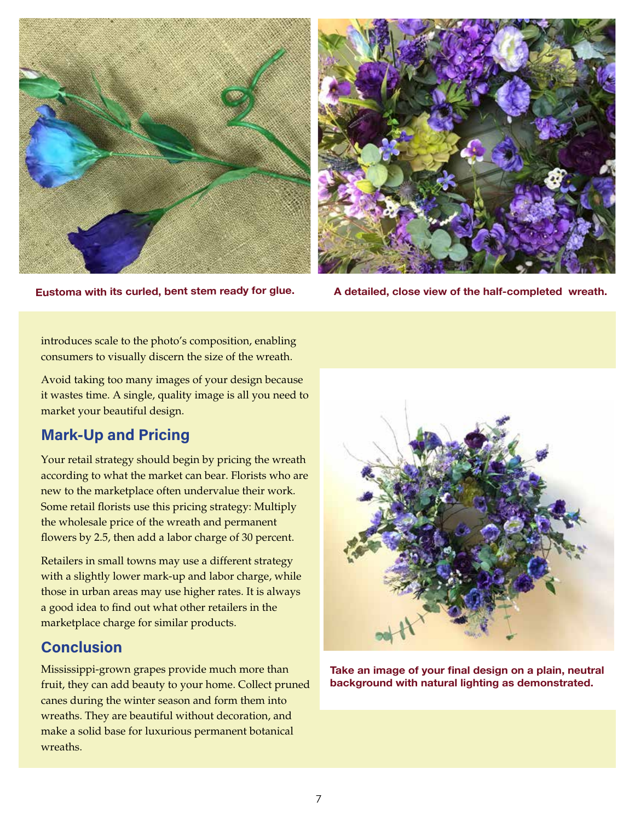



**Eustoma with its curled, bent stem ready for glue. A detailed, close view of the half-completed wreath.**

introduces scale to the photo's composition, enabling consumers to visually discern the size of the wreath.

Avoid taking too many images of your design because it wastes time. A single, quality image is all you need to market your beautiful design.

## Mark-Up and Pricing

Your retail strategy should begin by pricing the wreath according to what the market can bear. Florists who are new to the marketplace often undervalue their work. Some retail florists use this pricing strategy: Multiply the wholesale price of the wreath and permanent flowers by 2.5, then add a labor charge of 30 percent.

Retailers in small towns may use a different strategy with a slightly lower mark-up and labor charge, while those in urban areas may use higher rates. It is always a good idea to find out what other retailers in the marketplace charge for similar products.

## Conclusion

Mississippi-grown grapes provide much more than fruit, they can add beauty to your home. Collect pruned canes during the winter season and form them into wreaths. They are beautiful without decoration, and make a solid base for luxurious permanent botanical wreaths.



**Take an image of your final design on a plain, neutral background with natural lighting as demonstrated.**